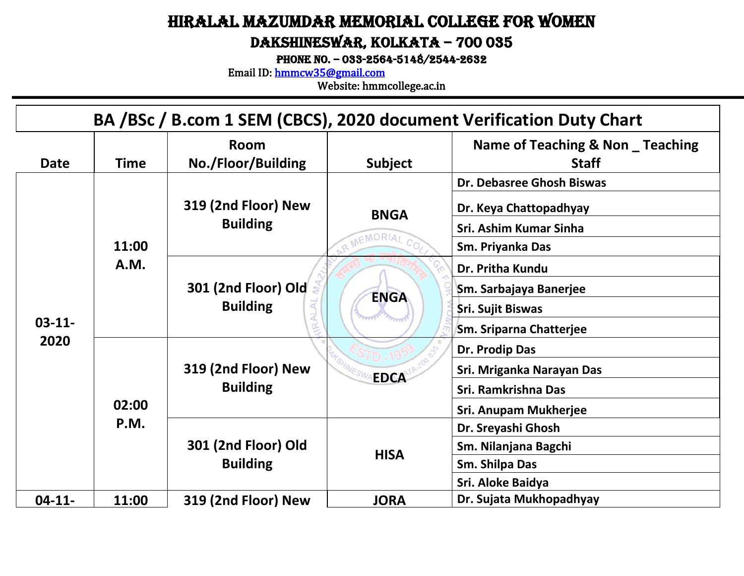## Hiralal Mazumdar Memorial College for Women

#### Dakshineswar, Kolkata – 700 035

PHONE NO. - 033-2564-5148/2544-2632

Email ID: [hmmcw35@gmail.com](mailto:hmmcw35@gmail.com) 

|                     |             |                                        |             | BA /BSc / B.com 1 SEM (CBCS), 2020 document Verification Duty Chart |
|---------------------|-------------|----------------------------------------|-------------|---------------------------------------------------------------------|
| <b>Date</b>         | <b>Time</b> | <b>Room</b><br>No./Floor/Building      | Subject     | Name of Teaching & Non _ Teaching<br><b>Staff</b>                   |
|                     |             | 319 (2nd Floor) New                    | <b>BNGA</b> | Dr. Debasree Ghosh Biswas<br>Dr. Keya Chattopadhyay                 |
|                     | 11:00       | <b>Building</b>                        | MEMORIAL    | Sri. Ashim Kumar Sinha<br>Sm. Priyanka Das                          |
|                     | A.M.        | 301 (2nd Floor) Old<br><b>Building</b> | <b>ENGA</b> | Dr. Pritha Kundu<br>Sm. Sarbajaya Banerjee<br>Sri. Sujit Biswas     |
| $03 - 11 -$<br>2020 |             |                                        |             | <b>Sm. Sriparna Chatterjee</b><br>Dr. Prodip Das                    |
|                     | 02:00       | 319 (2nd Floor) New<br><b>Building</b> | <b>EDCA</b> | Sri. Mriganka Narayan Das<br>Sri. Ramkrishna Das                    |
|                     | P.M.        |                                        |             | <b>Sri. Anupam Mukherjee</b><br>Dr. Sreyashi Ghosh                  |
|                     |             | 301 (2nd Floor) Old<br><b>Building</b> | <b>HISA</b> | Sm. Nilanjana Bagchi<br>Sm. Shilpa Das<br>Sri. Aloke Baidya         |
| $04-11-$            | 11:00       | 319 (2nd Floor) New                    | <b>JORA</b> | Dr. Sujata Mukhopadhyay                                             |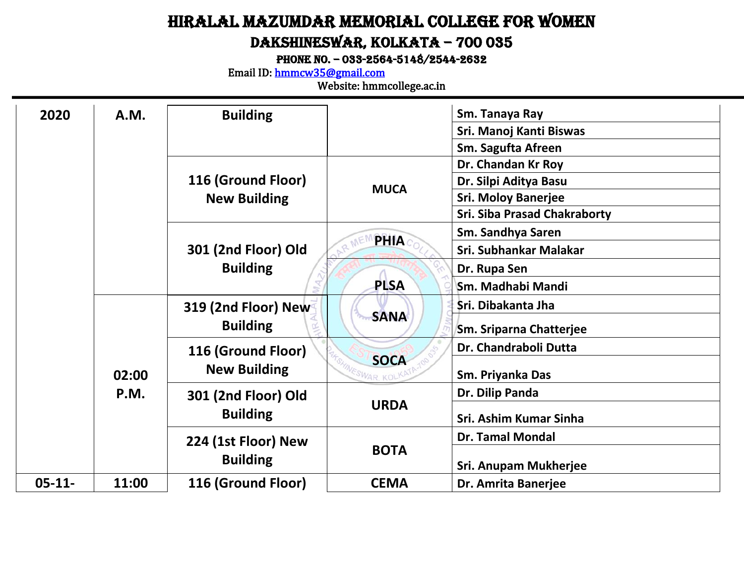### Hiralal Mazumdar Memorial College for Women Dakshineswar, Kolkata – 700 035

PHONE NO. - 033-2564-5148/2544-2632

Email ID: [hmmcw35@gmail.com](mailto:hmmcw35@gmail.com) 

| 2020        | A.M.  | <b>Building</b>     |                    | Sm. Tanaya Ray                      |
|-------------|-------|---------------------|--------------------|-------------------------------------|
|             |       |                     |                    | Sri. Manoj Kanti Biswas             |
|             |       |                     |                    | Sm. Sagufta Afreen                  |
|             |       |                     |                    | Dr. Chandan Kr Roy                  |
|             |       | 116 (Ground Floor)  | <b>MUCA</b>        | Dr. Silpi Aditya Basu               |
|             |       | <b>New Building</b> |                    | <b>Sri. Moloy Banerjee</b>          |
|             |       |                     |                    | <b>Sri. Siba Prasad Chakraborty</b> |
|             |       |                     | <b>PHIA</b>        | Sm. Sandhya Saren                   |
|             |       | 301 (2nd Floor) Old |                    | Sri. Subhankar Malakar              |
|             |       | <b>Building</b>     |                    | Dr. Rupa Sen                        |
|             |       |                     | <b>PLSA</b>        | Sm. Madhabi Mandi                   |
|             |       | 319 (2nd Floor) New |                    | Sri. Dibakanta Jha                  |
|             |       | <b>Building</b>     | <b>SANA</b>        | <b>Sm. Sriparna Chatterjee</b>      |
|             |       | 116 (Ground Floor)  |                    | Dr. Chandraboli Dutta               |
|             | 02:00 | <b>New Building</b> | <b>SOCA</b><br>KOL | Sm. Priyanka Das                    |
|             | P.M.  | 301 (2nd Floor) Old |                    | Dr. Dilip Panda                     |
|             |       | <b>Building</b>     | <b>URDA</b>        | Sri. Ashim Kumar Sinha              |
|             |       | 224 (1st Floor) New |                    | <b>Dr. Tamal Mondal</b>             |
|             |       | <b>Building</b>     | <b>BOTA</b>        | Sri. Anupam Mukherjee               |
| $05 - 11 -$ | 11:00 | 116 (Ground Floor)  | <b>CEMA</b>        | Dr. Amrita Banerjee                 |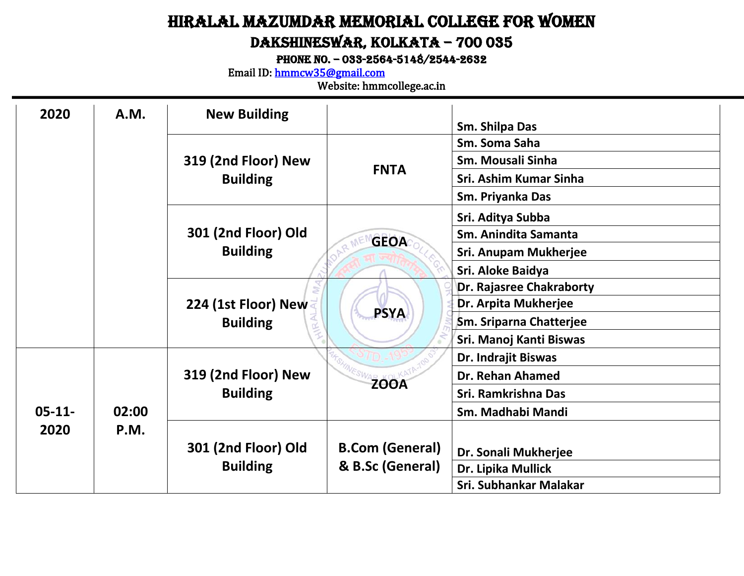### Hiralal Mazumdar Memorial College for Women Dakshineswar, Kolkata – 700 035

PHONE NO. - 033-2564-5148/2544-2632

Email ID: [hmmcw35@gmail.com](mailto:hmmcw35@gmail.com) 

| 2020        | <b>A.M.</b> | <b>New Building</b> |                        | Sm. Shilpa Das               |
|-------------|-------------|---------------------|------------------------|------------------------------|
|             |             |                     |                        | Sm. Soma Saha                |
|             |             |                     |                        |                              |
|             |             | 319 (2nd Floor) New | <b>FNTA</b>            | Sm. Mousali Sinha            |
|             |             | <b>Building</b>     |                        | Sri. Ashim Kumar Sinha       |
|             |             |                     |                        | Sm. Priyanka Das             |
|             |             |                     |                        | Sri. Aditya Subba            |
|             |             | 301 (2nd Floor) Old | <b>GEOA</b>            | Sm. Anindita Samanta         |
|             |             | <b>Building</b>     |                        | <b>Sri. Anupam Mukherjee</b> |
|             |             |                     |                        | Sri. Aloke Baidya            |
|             |             |                     |                        | Dr. Rajasree Chakraborty     |
|             |             | 224 (1st Floor) New |                        | Dr. Arpita Mukherjee         |
|             |             | <b>Building</b>     | <b>PSYA</b>            | Sm. Sriparna Chatterjee      |
|             |             |                     |                        | Sri. Manoj Kanti Biswas      |
|             |             |                     |                        | Dr. Indrajit Biswas          |
|             |             | 319 (2nd Floor) New | <b>ZOOA</b>            | <b>Dr. Rehan Ahamed</b>      |
|             |             | <b>Building</b>     |                        | Sri. Ramkrishna Das          |
| $05 - 11 -$ | 02:00       |                     |                        | Sm. Madhabi Mandi            |
| 2020        | <b>P.M.</b> |                     |                        |                              |
|             |             | 301 (2nd Floor) Old | <b>B.Com (General)</b> | Dr. Sonali Mukherjee         |
|             |             | <b>Building</b>     | & B.Sc (General)       | Dr. Lipika Mullick           |
|             |             |                     |                        | Sri. Subhankar Malakar       |